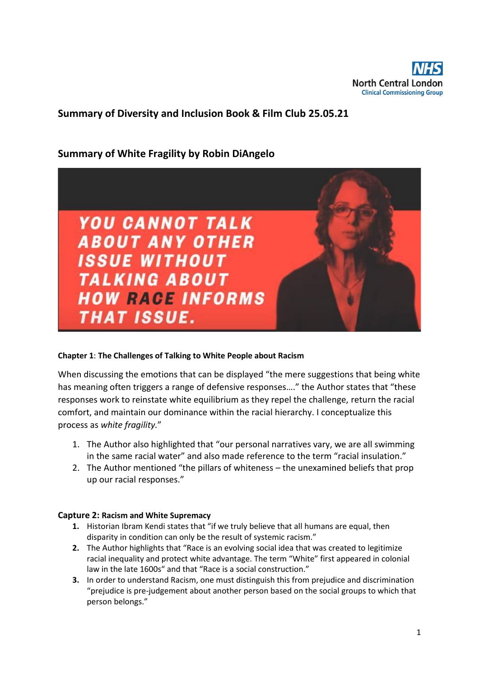

# **Summary of Diversity and Inclusion Book & Film Club 25.05.21**

## **Summary of White Fragility by Robin DiAngelo**



## **Chapter 1**: **The Challenges of Talking to White People about Racism**

When discussing the emotions that can be displayed "the mere suggestions that being white has meaning often triggers a range of defensive responses…." the Author states that "these responses work to reinstate white equilibrium as they repel the challenge, return the racial comfort, and maintain our dominance within the racial hierarchy. I conceptualize this process as *white fragility.*"

- 1. The Author also highlighted that "our personal narratives vary, we are all swimming in the same racial water" and also made reference to the term "racial insulation."
- 2. The Author mentioned "the pillars of whiteness the unexamined beliefs that prop up our racial responses."

## **Capture 2: Racism and White Supremacy**

- **1.** Historian Ibram Kendi states that "if we truly believe that all humans are equal, then disparity in condition can only be the result of systemic racism."
- **2.** The Author highlights that "Race is an evolving social idea that was created to legitimize racial inequality and protect white advantage. The term "White" first appeared in colonial law in the late 1600s" and that "Race is a social construction."
- **3.** In order to understand Racism, one must distinguish this from prejudice and discrimination "prejudice is pre-judgement about another person based on the social groups to which that person belongs."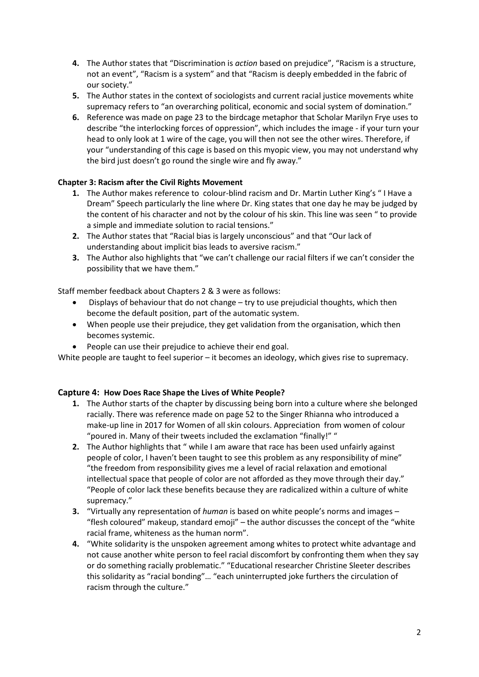- **4.** The Author states that "Discrimination is *action* based on prejudice", "Racism is a structure, not an event", "Racism is a system" and that "Racism is deeply embedded in the fabric of our society."
- **5.** The Author states in the context of sociologists and current racial justice movements white supremacy refers to "an overarching political, economic and social system of domination."
- **6.** Reference was made on page 23 to the birdcage metaphor that Scholar Marilyn Frye uses to describe "the interlocking forces of oppression", which includes the image - if your turn your head to only look at 1 wire of the cage, you will then not see the other wires. Therefore, if your "understanding of this cage is based on this myopic view, you may not understand why the bird just doesn't go round the single wire and fly away."

## **Chapter 3: Racism after the Civil Rights Movement**

- **1.** The Author makes reference to colour-blind racism and Dr. Martin Luther King's " I Have a Dream" Speech particularly the line where Dr. King states that one day he may be judged by the content of his character and not by the colour of his skin. This line was seen " to provide a simple and immediate solution to racial tensions."
- **2.** The Author states that "Racial bias is largely unconscious" and that "Our lack of understanding about implicit bias leads to aversive racism."
- **3.** The Author also highlights that "we can't challenge our racial filters if we can't consider the possibility that we have them."

Staff member feedback about Chapters 2 & 3 were as follows:

- Displays of behaviour that do not change try to use prejudicial thoughts, which then become the default position, part of the automatic system.
- When people use their prejudice, they get validation from the organisation, which then becomes systemic.
- People can use their prejudice to achieve their end goal.

White people are taught to feel superior – it becomes an ideology, which gives rise to supremacy.

## **Capture 4: How Does Race Shape the Lives of White People?**

- **1.** The Author starts of the chapter by discussing being born into a culture where she belonged racially. There was reference made on page 52 to the Singer Rhianna who introduced a make-up line in 2017 for Women of all skin colours. Appreciation from women of colour "poured in. Many of their tweets included the exclamation "finally!" "
- **2.** The Author highlights that " while I am aware that race has been used unfairly against people of color, I haven't been taught to see this problem as any responsibility of mine" "the freedom from responsibility gives me a level of racial relaxation and emotional intellectual space that people of color are not afforded as they move through their day." "People of color lack these benefits because they are radicalized within a culture of white supremacy."
- **3.** "Virtually any representation of *human* is based on white people's norms and images "flesh coloured" makeup, standard emoji" – the author discusses the concept of the "white racial frame, whiteness as the human norm".
- **4.** "White solidarity is the unspoken agreement among whites to protect white advantage and not cause another white person to feel racial discomfort by confronting them when they say or do something racially problematic." "Educational researcher Christine Sleeter describes this solidarity as "racial bonding"… "each uninterrupted joke furthers the circulation of racism through the culture."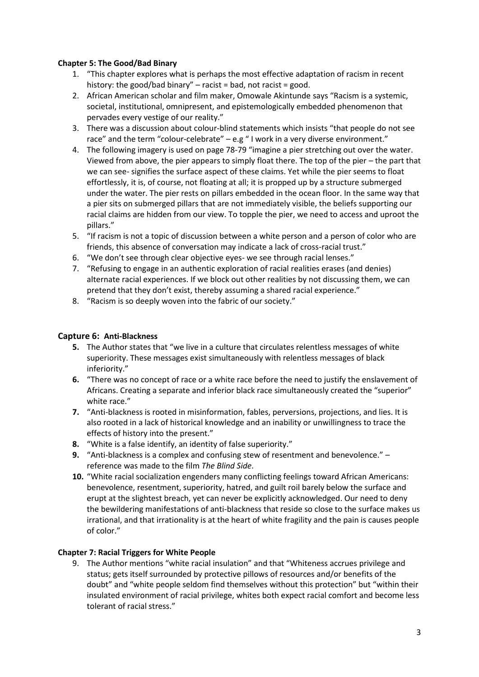## **Chapter 5: The Good/Bad Binary**

- 1. "This chapter explores what is perhaps the most effective adaptation of racism in recent history: the good/bad binary" – racist = bad, not racist = good.
- 2. African American scholar and film maker, Omowale Akintunde says "Racism is a systemic, societal, institutional, omnipresent, and epistemologically embedded phenomenon that pervades every vestige of our reality."
- 3. There was a discussion about colour-blind statements which insists "that people do not see race" and the term "colour-celebrate" – e.g " I work in a very diverse environment."
- 4. The following imagery is used on page 78-79 "imagine a pier stretching out over the water. Viewed from above, the pier appears to simply float there. The top of the pier – the part that we can see- signifies the surface aspect of these claims. Yet while the pier seems to float effortlessly, it is, of course, not floating at all; it is propped up by a structure submerged under the water. The pier rests on pillars embedded in the ocean floor. In the same way that a pier sits on submerged pillars that are not immediately visible, the beliefs supporting our racial claims are hidden from our view. To topple the pier, we need to access and uproot the pillars."
- 5. "If racism is not a topic of discussion between a white person and a person of color who are friends, this absence of conversation may indicate a lack of cross-racial trust."
- 6. "We don't see through clear objective eyes- we see through racial lenses."
- 7. "Refusing to engage in an authentic exploration of racial realities erases (and denies) alternate racial experiences. If we block out other realities by not discussing them, we can pretend that they don't exist, thereby assuming a shared racial experience."
- 8. "Racism is so deeply woven into the fabric of our society."

## **Capture 6: Anti-Blackness**

- **5.** The Author states that "we live in a culture that circulates relentless messages of white superiority. These messages exist simultaneously with relentless messages of black inferiority."
- **6.** "There was no concept of race or a white race before the need to justify the enslavement of Africans. Creating a separate and inferior black race simultaneously created the "superior" white race."
- **7.** "Anti-blackness is rooted in misinformation, fables, perversions, projections, and lies. It is also rooted in a lack of historical knowledge and an inability or unwillingness to trace the effects of history into the present."
- **8.** "White is a false identify, an identity of false superiority."
- **9.** "Anti-blackness is a complex and confusing stew of resentment and benevolence." reference was made to the film *The Blind Side*.
- **10.** "White racial socialization engenders many conflicting feelings toward African Americans: benevolence, resentment, superiority, hatred, and guilt roil barely below the surface and erupt at the slightest breach, yet can never be explicitly acknowledged. Our need to deny the bewildering manifestations of anti-blackness that reside so close to the surface makes us irrational, and that irrationality is at the heart of white fragility and the pain is causes people of color."

#### **Chapter 7: Racial Triggers for White People**

9. The Author mentions "white racial insulation" and that "Whiteness accrues privilege and status; gets itself surrounded by protective pillows of resources and/or benefits of the doubt" and "white people seldom find themselves without this protection" but "within their insulated environment of racial privilege, whites both expect racial comfort and become less tolerant of racial stress."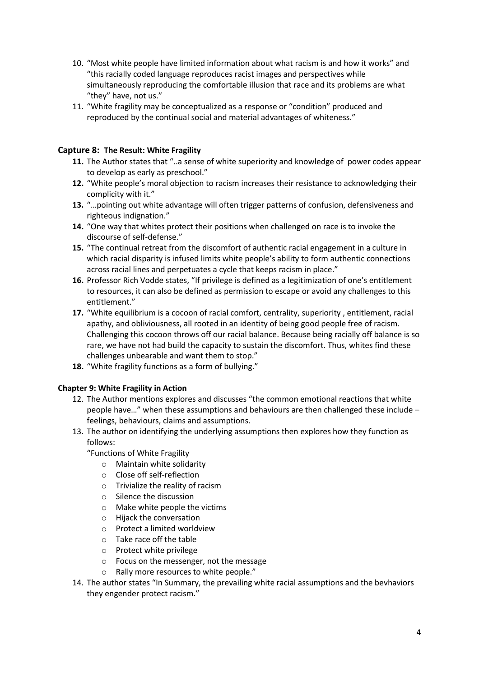- 10. "Most white people have limited information about what racism is and how it works" and "this racially coded language reproduces racist images and perspectives while simultaneously reproducing the comfortable illusion that race and its problems are what "they" have, not us."
- 11. "White fragility may be conceptualized as a response or "condition" produced and reproduced by the continual social and material advantages of whiteness."

## **Capture 8: The Result: White Fragility**

- **11.** The Author states that "..a sense of white superiority and knowledge of power codes appear to develop as early as preschool."
- **12.** "White people's moral objection to racism increases their resistance to acknowledging their complicity with it."
- **13.** "…pointing out white advantage will often trigger patterns of confusion, defensiveness and righteous indignation."
- **14.** "One way that whites protect their positions when challenged on race is to invoke the discourse of self-defense."
- **15.** "The continual retreat from the discomfort of authentic racial engagement in a culture in which racial disparity is infused limits white people's ability to form authentic connections across racial lines and perpetuates a cycle that keeps racism in place."
- **16.** Professor Rich Vodde states, "If privilege is defined as a legitimization of one's entitlement to resources, it can also be defined as permission to escape or avoid any challenges to this entitlement."
- **17.** "White equilibrium is a cocoon of racial comfort, centrality, superiority , entitlement, racial apathy, and obliviousness, all rooted in an identity of being good people free of racism. Challenging this cocoon throws off our racial balance. Because being racially off balance is so rare, we have not had build the capacity to sustain the discomfort. Thus, whites find these challenges unbearable and want them to stop."
- **18.** "White fragility functions as a form of bullying."

## **Chapter 9: White Fragility in Action**

- 12. The Author mentions explores and discusses "the common emotional reactions that white people have…" when these assumptions and behaviours are then challenged these include – feelings, behaviours, claims and assumptions.
- 13. The author on identifying the underlying assumptions then explores how they function as follows:
	- "Functions of White Fragility
		- o Maintain white solidarity
		- o Close off self-reflection
		- o Trivialize the reality of racism
		- o Silence the discussion
		- o Make white people the victims
		- o Hijack the conversation
		- o Protect a limited worldview
		- o Take race off the table
		- o Protect white privilege
		- o Focus on the messenger, not the message
		- o Rally more resources to white people."
- 14. The author states "In Summary, the prevailing white racial assumptions and the bevhaviors they engender protect racism."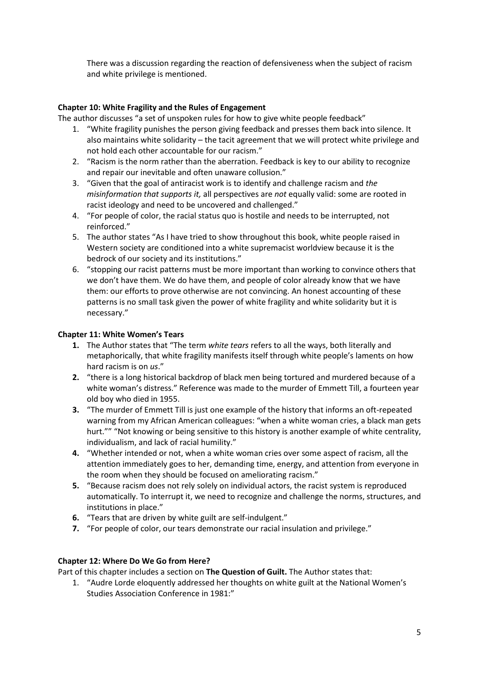There was a discussion regarding the reaction of defensiveness when the subject of racism and white privilege is mentioned.

## **Chapter 10: White Fragility and the Rules of Engagement**

The author discusses "a set of unspoken rules for how to give white people feedback"

- 1. "White fragility punishes the person giving feedback and presses them back into silence. It also maintains white solidarity – the tacit agreement that we will protect white privilege and not hold each other accountable for our racism."
- 2. "Racism is the norm rather than the aberration. Feedback is key to our ability to recognize and repair our inevitable and often unaware collusion."
- 3. "Given that the goal of antiracist work is to identify and challenge racism and *the misinformation that supports it,* all perspectives are *not* equally valid: some are rooted in racist ideology and need to be uncovered and challenged."
- 4. "For people of color, the racial status quo is hostile and needs to be interrupted, not reinforced."
- 5. The author states "As I have tried to show throughout this book, white people raised in Western society are conditioned into a white supremacist worldview because it is the bedrock of our society and its institutions."
- 6. "stopping our racist patterns must be more important than working to convince others that we don't have them. We do have them, and people of color already know that we have them: our efforts to prove otherwise are not convincing. An honest accounting of these patterns is no small task given the power of white fragility and white solidarity but it is necessary."

#### **Chapter 11: White Women's Tears**

- **1.** The Author states that "The term *white tears* refers to all the ways, both literally and metaphorically, that white fragility manifests itself through white people's laments on how hard racism is on *us*."
- **2.** "there is a long historical backdrop of black men being tortured and murdered because of a white woman's distress." Reference was made to the murder of Emmett Till, a fourteen year old boy who died in 1955.
- **3.** "The murder of Emmett Till is just one example of the history that informs an oft-repeated warning from my African American colleagues: "when a white woman cries, a black man gets hurt."" "Not knowing or being sensitive to this history is another example of white centrality, individualism, and lack of racial humility."
- **4.** "Whether intended or not, when a white woman cries over some aspect of racism, all the attention immediately goes to her, demanding time, energy, and attention from everyone in the room when they should be focused on ameliorating racism."
- **5.** "Because racism does not rely solely on individual actors, the racist system is reproduced automatically. To interrupt it, we need to recognize and challenge the norms, structures, and institutions in place."
- **6.** "Tears that are driven by white guilt are self-indulgent."
- **7.** "For people of color, our tears demonstrate our racial insulation and privilege."

#### **Chapter 12: Where Do We Go from Here?**

Part of this chapter includes a section on **The Question of Guilt.** The Author states that:

1. "Audre Lorde eloquently addressed her thoughts on white guilt at the National Women's Studies Association Conference in 1981:"